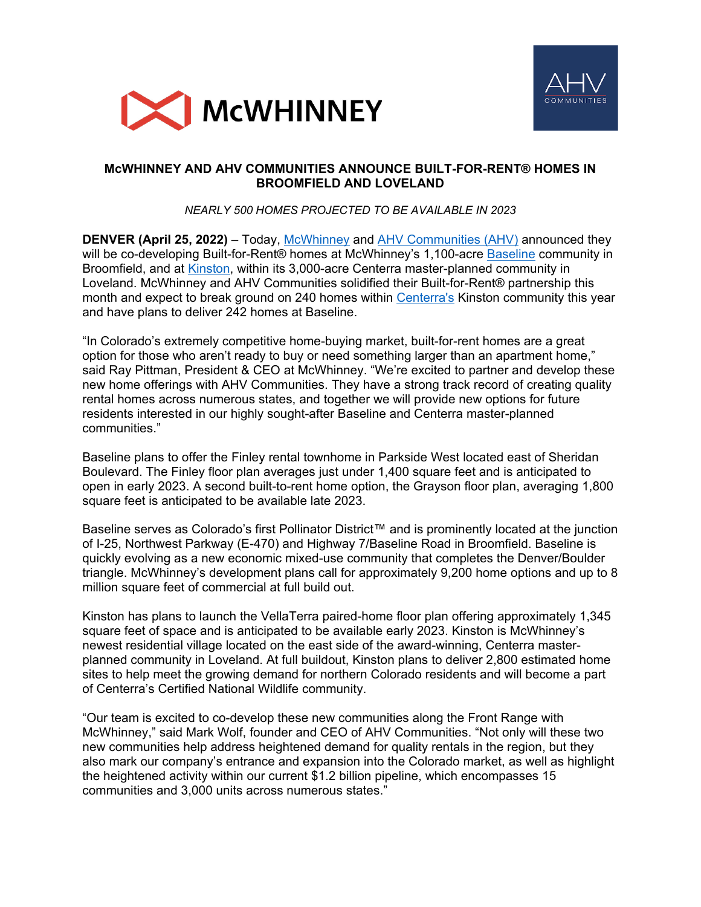



# **McWHINNEY AND AHV COMMUNITIES ANNOUNCE BUILT-FOR-RENT® HOMES IN BROOMFIELD AND LOVELAND**

*NEARLY 500 HOMES PROJECTED TO BE AVAILABLE IN 2023*

**DENVER (April 25, 2022)** – Today, [McWhinney](https://mcwhinney.com/) and [AHV Communities \(AHV\)](https://ahvcommunities.com/) announced they will be co-developing Built-for-Rent® homes at McWhinney's 1,100-acre [Baseline](https://baselinecolorado.com/) community in Broomfield, and at [Kinston,](https://www.centerra.com/kinston/) within its 3,000-acre Centerra master-planned community in Loveland. McWhinney and AHV Communities solidified their Built-for-Rent® partnership this month and expect to break ground on 240 homes within [Centerra's](https://www.centerra.com/) Kinston community this year and have plans to deliver 242 homes at Baseline.

"In Colorado's extremely competitive home-buying market, built-for-rent homes are a great option for those who aren't ready to buy or need something larger than an apartment home," said Ray Pittman, President & CEO at McWhinney. "We're excited to partner and develop these new home offerings with AHV Communities. They have a strong track record of creating quality rental homes across numerous states, and together we will provide new options for future residents interested in our highly sought-after Baseline and Centerra master-planned communities."

Baseline plans to offer the Finley rental townhome in Parkside West located east of Sheridan Boulevard. The Finley floor plan averages just under 1,400 square feet and is anticipated to open in early 2023. A second built-to-rent home option, the Grayson floor plan, averaging 1,800 square feet is anticipated to be available late 2023.

Baseline serves as Colorado's first Pollinator District™ and is prominently located at the junction of I-25, Northwest Parkway (E-470) and Highway 7/Baseline Road in Broomfield. Baseline is quickly evolving as a new economic mixed-use community that completes the Denver/Boulder triangle. McWhinney's development plans call for approximately 9,200 home options and up to 8 million square feet of commercial at full build out.

Kinston has plans to launch the VellaTerra paired-home floor plan offering approximately 1,345 square feet of space and is anticipated to be available early 2023. Kinston is McWhinney's newest residential village located on the east side of the award-winning, Centerra masterplanned community in Loveland. At full buildout, Kinston plans to deliver 2,800 estimated home sites to help meet the growing demand for northern Colorado residents and will become a part of Centerra's Certified National Wildlife community.

"Our team is excited to co-develop these new communities along the Front Range with McWhinney," said Mark Wolf, founder and CEO of AHV Communities. "Not only will these two new communities help address heightened demand for quality rentals in the region, but they also mark our company's entrance and expansion into the Colorado market, as well as highlight the heightened activity within our current \$1.2 billion pipeline, which encompasses 15 communities and 3,000 units across numerous states."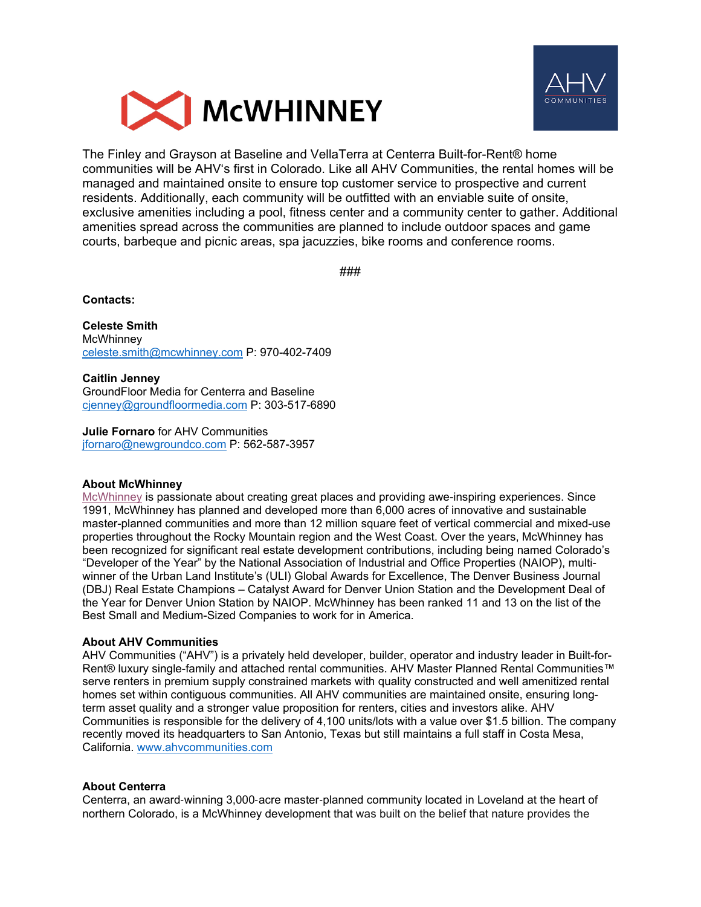



The Finley and Grayson at Baseline and VellaTerra at Centerra Built-for-Rent® home communities will be AHV's first in Colorado. Like all AHV Communities, the rental homes will be managed and maintained onsite to ensure top customer service to prospective and current residents. Additionally, each community will be outfitted with an enviable suite of onsite, exclusive amenities including a pool, fitness center and a community center to gather. Additional amenities spread across the communities are planned to include outdoor spaces and game courts, barbeque and picnic areas, spa jacuzzies, bike rooms and conference rooms.

###

**Contacts:** 

**Celeste Smith McWhinney** [celeste.smith@mcwhinney.com](mailto:celeste.smith@mcwhinney.com) P: 970-402-7409

**Caitlin Jenney** GroundFloor Media for Centerra and Baseline [cjenney@groundfloormedia.com](mailto:cjenney@groundfloormedia.com) P: 303-517-6890

**Julie Fornaro** for AHV Communities [jfornaro@newgroundco.com](mailto:jfornaro@newgroundco.com) P: 562-587-3957

## **About McWhinney**

[McWhinney](https://www.mcwhinney.com/) is passionate about creating great places and providing awe-inspiring experiences. Since 1991, McWhinney has planned and developed more than 6,000 acres of innovative and sustainable master-planned communities and more than 12 million square feet of vertical commercial and mixed-use properties throughout the Rocky Mountain region and the West Coast. Over the years, McWhinney has been recognized for significant real estate development contributions, including being named Colorado's "Developer of the Year" by the National Association of Industrial and Office Properties (NAIOP), multiwinner of the Urban Land Institute's (ULI) Global Awards for Excellence, The Denver Business Journal (DBJ) Real Estate Champions – Catalyst Award for Denver Union Station and the Development Deal of the Year for Denver Union Station by NAIOP. McWhinney has been ranked 11 and 13 on the list of the Best Small and Medium-Sized Companies to work for in America.

## **About AHV Communities**

AHV Communities ("AHV") is a privately held developer, builder, operator and industry leader in Built-for-Rent® luxury single-family and attached rental communities. AHV Master Planned Rental Communities™ serve renters in premium supply constrained markets with quality constructed and well amenitized rental homes set within contiguous communities. All AHV communities are maintained onsite, ensuring longterm asset quality and a stronger value proposition for renters, cities and investors alike. AHV Communities is responsible for the delivery of 4,100 units/lots with a value over \$1.5 billion. The company recently moved its headquarters to San Antonio, Texas but still maintains a full staff in Costa Mesa, California. [www.ahvcommunities.com](http://www.ahvcommunities.com/) 

## **About Centerra**

Centerra, an award‐winning 3,000‐acre master‐planned community located in Loveland at the heart of northern Colorado, is a McWhinney development that was built on the belief that nature provides the